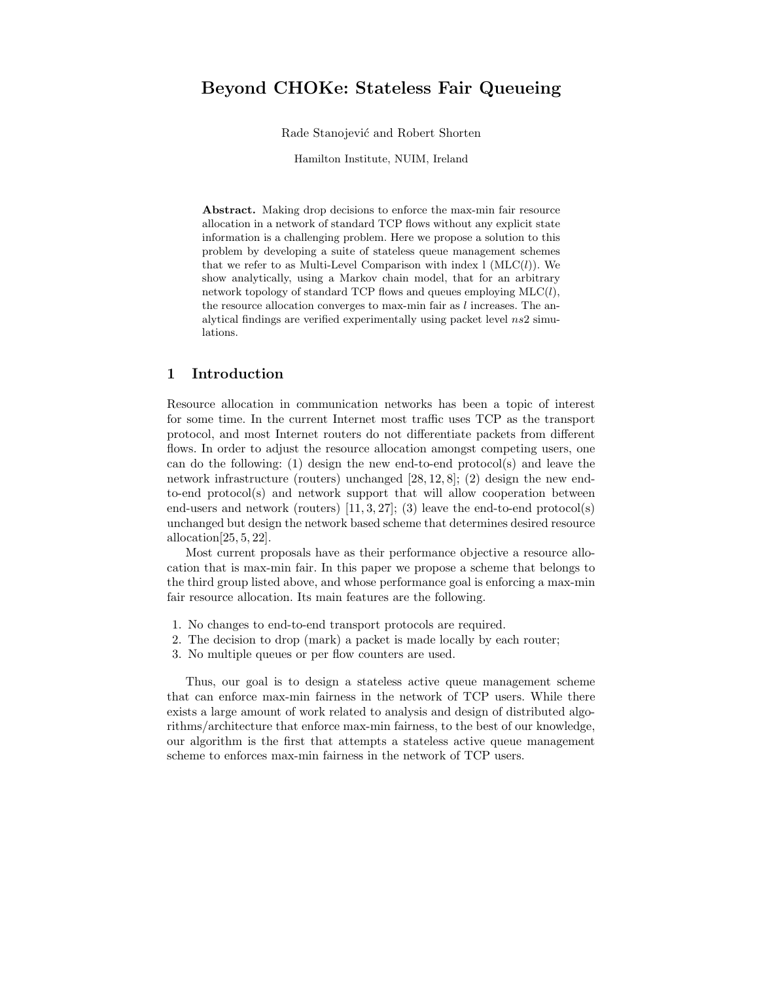# Beyond CHOKe: Stateless Fair Queueing

Rade Stanojević and Robert Shorten

Hamilton Institute, NUIM, Ireland

Abstract. Making drop decisions to enforce the max-min fair resource allocation in a network of standard TCP flows without any explicit state information is a challenging problem. Here we propose a solution to this problem by developing a suite of stateless queue management schemes that we refer to as Multi-Level Comparison with index  $l$  (MLC $(l)$ ). We show analytically, using a Markov chain model, that for an arbitrary network topology of standard TCP flows and queues employing  $MLC(l)$ , the resource allocation converges to max-min fair as  $l$  increases. The analytical findings are verified experimentally using packet level  $ns2$  simulations.

## 1 Introduction

Resource allocation in communication networks has been a topic of interest for some time. In the current Internet most traffic uses TCP as the transport protocol, and most Internet routers do not differentiate packets from different flows. In order to adjust the resource allocation amongst competing users, one can do the following: (1) design the new end-to-end protocol(s) and leave the network infrastructure (routers) unchanged [28, 12, 8]; (2) design the new endto-end protocol(s) and network support that will allow cooperation between end-users and network (routers)  $[11, 3, 27]$ ; (3) leave the end-to-end protocol(s) unchanged but design the network based scheme that determines desired resource allocation $[25, 5, 22]$ .

Most current proposals have as their performance objective a resource allocation that is max-min fair. In this paper we propose a scheme that belongs to the third group listed above, and whose performance goal is enforcing a max-min fair resource allocation. Its main features are the following.

- 1. No changes to end-to-end transport protocols are required.
- 2. The decision to drop (mark) a packet is made locally by each router;
- 3. No multiple queues or per flow counters are used.

Thus, our goal is to design a stateless active queue management scheme that can enforce max-min fairness in the network of TCP users. While there exists a large amount of work related to analysis and design of distributed algorithms/architecture that enforce max-min fairness, to the best of our knowledge, our algorithm is the first that attempts a stateless active queue management scheme to enforces max-min fairness in the network of TCP users.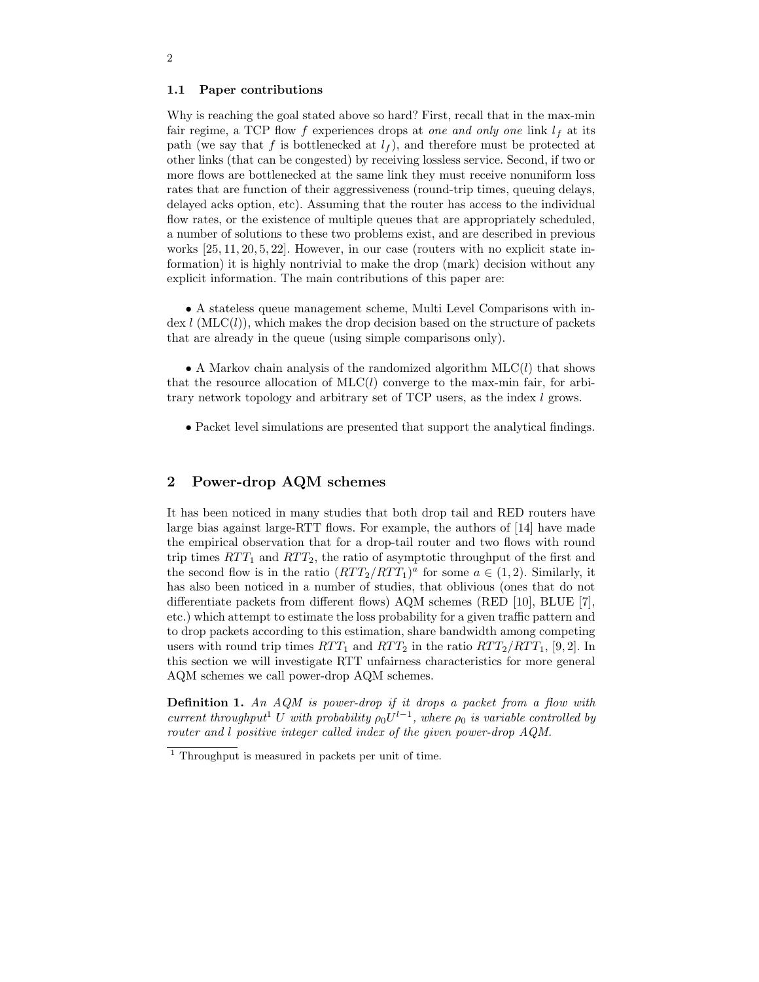#### 1.1 Paper contributions

Why is reaching the goal stated above so hard? First, recall that in the max-min fair regime, a TCP flow f experiences drops at one and only one link  $l_f$  at its path (we say that f is bottlenecked at  $l_f$ ), and therefore must be protected at other links (that can be congested) by receiving lossless service. Second, if two or more flows are bottlenecked at the same link they must receive nonuniform loss rates that are function of their aggressiveness (round-trip times, queuing delays, delayed acks option, etc). Assuming that the router has access to the individual flow rates, or the existence of multiple queues that are appropriately scheduled, a number of solutions to these two problems exist, and are described in previous works [25, 11, 20, 5, 22]. However, in our case (routers with no explicit state information) it is highly nontrivial to make the drop (mark) decision without any explicit information. The main contributions of this paper are:

• A stateless queue management scheme, Multi Level Comparisons with in- $\text{dex } l$  (MLC(l)), which makes the drop decision based on the structure of packets that are already in the queue (using simple comparisons only).

• A Markov chain analysis of the randomized algorithm  $MLC(l)$  that shows that the resource allocation of  $MLC(l)$  converge to the max-min fair, for arbitrary network topology and arbitrary set of TCP users, as the index l grows.

• Packet level simulations are presented that support the analytical findings.

## 2 Power-drop AQM schemes

It has been noticed in many studies that both drop tail and RED routers have large bias against large-RTT flows. For example, the authors of [14] have made the empirical observation that for a drop-tail router and two flows with round trip times  $RTT_1$  and  $RTT_2$ , the ratio of asymptotic throughput of the first and the second flow is in the ratio  $(RTT_2/RTT_1)^a$  for some  $a \in (1, 2)$ . Similarly, it has also been noticed in a number of studies, that oblivious (ones that do not differentiate packets from different flows) AQM schemes (RED [10], BLUE [7], etc.) which attempt to estimate the loss probability for a given traffic pattern and to drop packets according to this estimation, share bandwidth among competing users with round trip times  $RTT_1$  and  $RTT_2$  in the ratio  $RTT_2/RTT_1$ , [9, 2]. In this section we will investigate RTT unfairness characteristics for more general AQM schemes we call power-drop AQM schemes.

Definition 1. An AQM is power-drop if it drops a packet from a flow with current throughput<sup>1</sup> U with probability  $\rho_0 U^{l-1}$ , where  $\rho_0$  is variable controlled by router and l positive integer called index of the given power-drop AQM.

<sup>1</sup> Throughput is measured in packets per unit of time.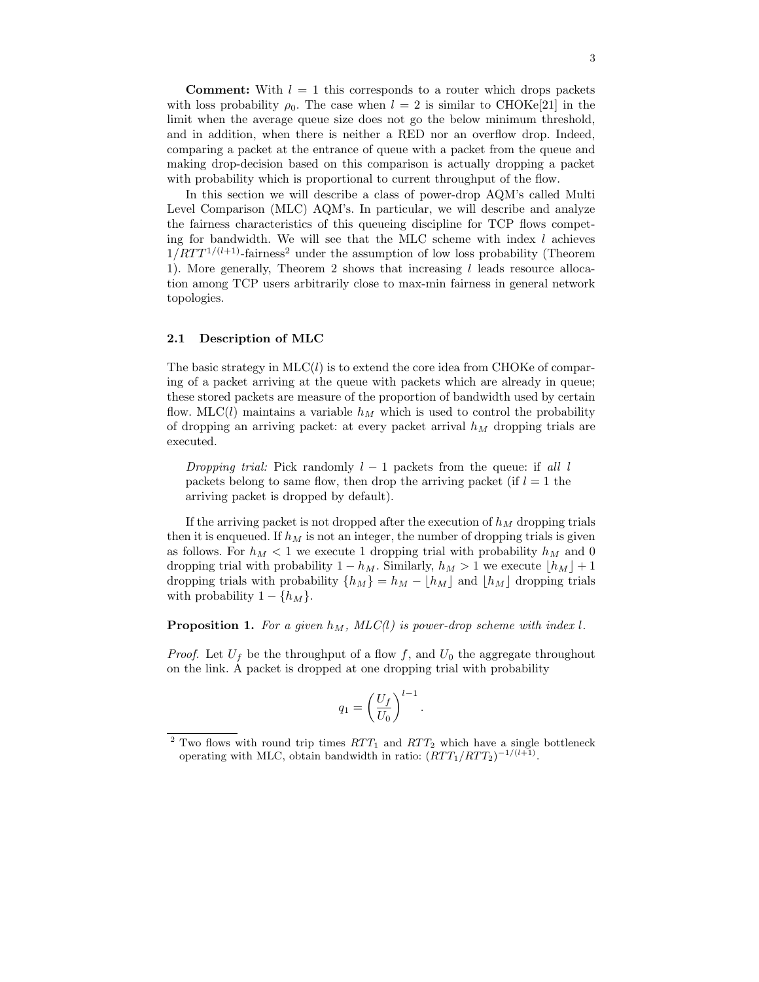**Comment:** With  $l = 1$  this corresponds to a router which drops packets with loss probability  $\rho_0$ . The case when  $l = 2$  is similar to CHOKe[21] in the limit when the average queue size does not go the below minimum threshold, and in addition, when there is neither a RED nor an overflow drop. Indeed, comparing a packet at the entrance of queue with a packet from the queue and making drop-decision based on this comparison is actually dropping a packet with probability which is proportional to current throughput of the flow.

In this section we will describe a class of power-drop AQM's called Multi Level Comparison (MLC) AQM's. In particular, we will describe and analyze the fairness characteristics of this queueing discipline for TCP flows competing for bandwidth. We will see that the MLC scheme with index  $l$  achieves  $1/RTT^{1/(l+1)}$ -fairness<sup>2</sup> under the assumption of low loss probability (Theorem 1). More generally, Theorem 2 shows that increasing  $l$  leads resource allocation among TCP users arbitrarily close to max-min fairness in general network topologies.

### 2.1 Description of MLC

The basic strategy in  $MLC(l)$  is to extend the core idea from CHOKe of comparing of a packet arriving at the queue with packets which are already in queue; these stored packets are measure of the proportion of bandwidth used by certain flow. MLC(l) maintains a variable  $h_M$  which is used to control the probability of dropping an arriving packet: at every packet arrival  $h_M$  dropping trials are executed.

Dropping trial: Pick randomly  $l-1$  packets from the queue: if all l packets belong to same flow, then drop the arriving packet (if  $l = 1$  the arriving packet is dropped by default).

If the arriving packet is not dropped after the execution of  $h<sub>M</sub>$  dropping trials then it is enqueued. If  $h_M$  is not an integer, the number of dropping trials is given as follows. For  $h_M < 1$  we execute 1 dropping trial with probability  $h_M$  and 0 dropping trial with probability  $1 - h_M$ . Similarly,  $h_M > 1$  we execute  $\lfloor h_M \rfloor + 1$ dropping trials with probability  $\{h_M\} = h_M - \lfloor h_M \rfloor$  and  $\lfloor h_M \rfloor$  dropping trials with probability  $1 - \{h_M\}.$ 

**Proposition 1.** For a given  $h_M$ , MLC(l) is power-drop scheme with index l.

*Proof.* Let  $U_f$  be the throughput of a flow f, and  $U_0$  the aggregate throughout on the link. A packet is dropped at one dropping trial with probability

$$
q_1 = \left(\frac{U_f}{U_0}\right)^{l-1}.
$$

Two flows with round trip times  $RTT_1$  and  $RTT_2$  which have a single bottleneck operating with MLC, obtain bandwidth in ratio:  $(RTT_1/RTT_2)^{-1/(l+1)}$ .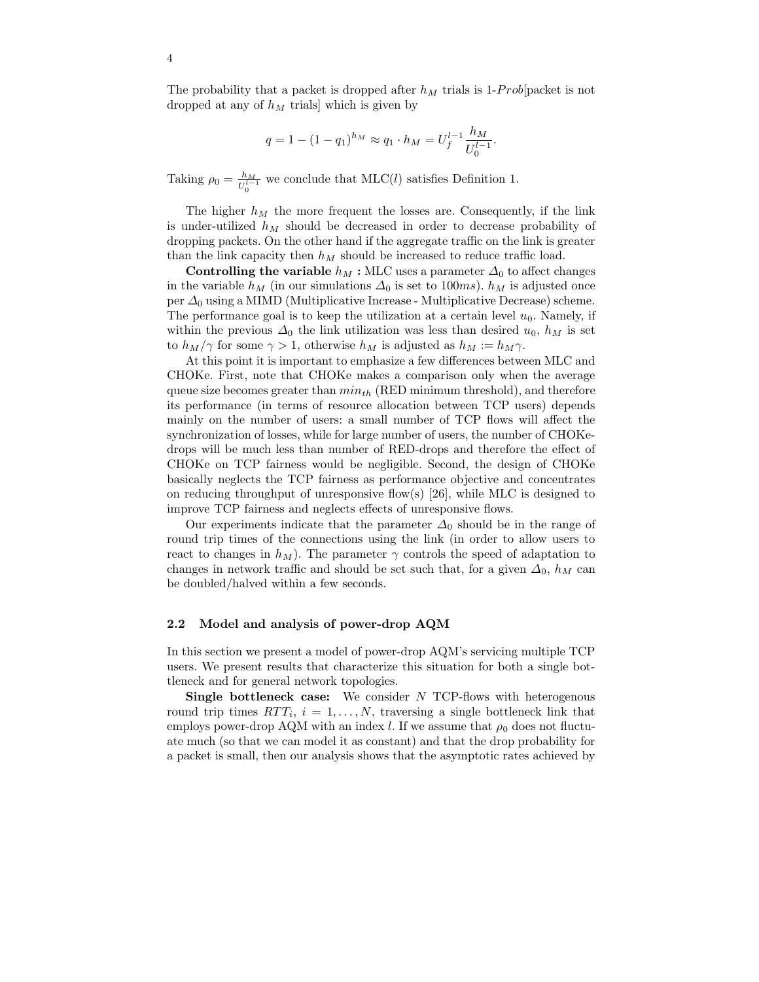The probability that a packet is dropped after  $h_M$  trials is 1-Prob(packet is not dropped at any of  $h_M$  trials] which is given by

$$
q = 1 - (1 - q_1)^{h_M} \approx q_1 \cdot h_M = U_f^{l-1} \frac{h_M}{U_0^{l-1}}.
$$

Taking  $\rho_0 = \frac{h_M}{H^2}$  $\frac{h_M}{U_0^{l-1}}$  we conclude that MLC(l) satisfies Definition 1.

The higher  $h_M$  the more frequent the losses are. Consequently, if the link is under-utilized  $h_M$  should be decreased in order to decrease probability of dropping packets. On the other hand if the aggregate traffic on the link is greater than the link capacity then  $h_M$  should be increased to reduce traffic load.

Controlling the variable  $h_M$ : MLC uses a parameter  $\Delta_0$  to affect changes in the variable  $h_M$  (in our simulations  $\Delta_0$  is set to 100ms).  $h_M$  is adjusted once per  $\Delta_0$  using a MIMD (Multiplicative Increase - Multiplicative Decrease) scheme. The performance goal is to keep the utilization at a certain level  $u_0$ . Namely, if within the previous  $\Delta_0$  the link utilization was less than desired  $u_0$ ,  $h_M$  is set to  $h_M/\gamma$  for some  $\gamma > 1$ , otherwise  $h_M$  is adjusted as  $h_M := h_M \gamma$ .

At this point it is important to emphasize a few differences between MLC and CHOKe. First, note that CHOKe makes a comparison only when the average queue size becomes greater than  $min_{th}$  (RED minimum threshold), and therefore its performance (in terms of resource allocation between TCP users) depends mainly on the number of users: a small number of TCP flows will affect the synchronization of losses, while for large number of users, the number of CHOKedrops will be much less than number of RED-drops and therefore the effect of CHOKe on TCP fairness would be negligible. Second, the design of CHOKe basically neglects the TCP fairness as performance objective and concentrates on reducing throughput of unresponsive flow(s)  $|26|$ , while MLC is designed to improve TCP fairness and neglects effects of unresponsive flows.

Our experiments indicate that the parameter  $\Delta_0$  should be in the range of round trip times of the connections using the link (in order to allow users to react to changes in  $h_M$ ). The parameter  $\gamma$  controls the speed of adaptation to changes in network traffic and should be set such that, for a given  $\Delta_0$ ,  $h_M$  can be doubled/halved within a few seconds.

#### 2.2 Model and analysis of power-drop AQM

In this section we present a model of power-drop AQM's servicing multiple TCP users. We present results that characterize this situation for both a single bottleneck and for general network topologies.

Single bottleneck case: We consider N TCP-flows with heterogenous round trip times  $RTT_i$ ,  $i = 1, ..., N$ , traversing a single bottleneck link that employs power-drop AQM with an index l. If we assume that  $\rho_0$  does not fluctuate much (so that we can model it as constant) and that the drop probability for a packet is small, then our analysis shows that the asymptotic rates achieved by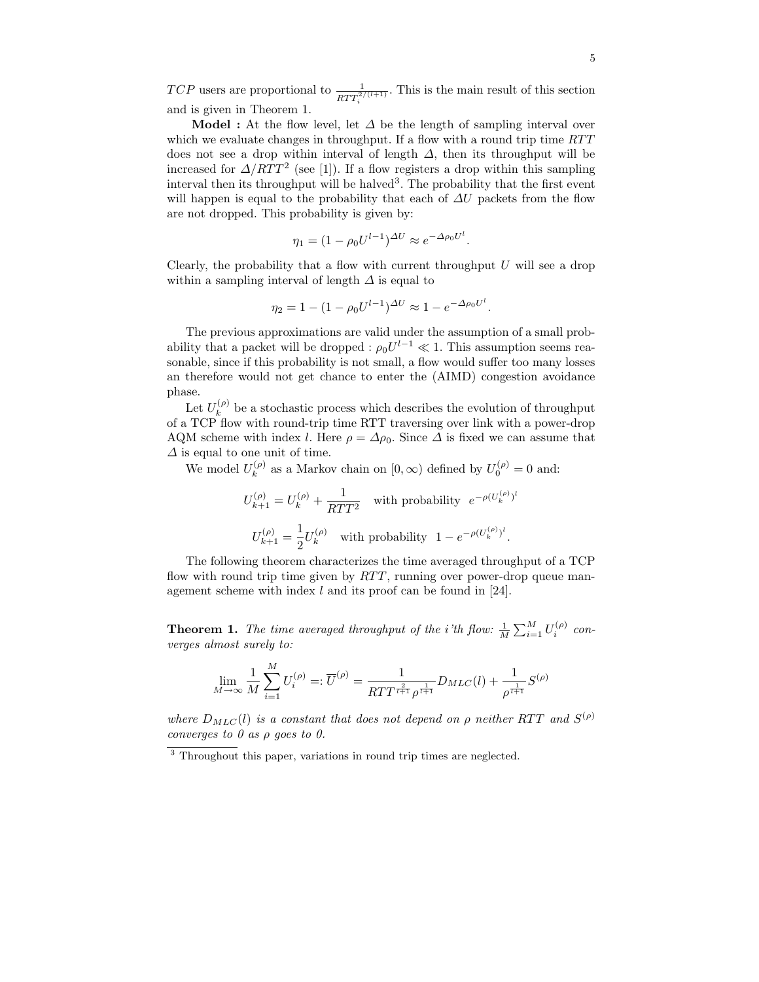TCP users are proportional to  $\frac{1}{RTT_i^{2/(l+1)}}$ . This is the main result of this section and is given in Theorem 1.

**Model :** At the flow level, let  $\Delta$  be the length of sampling interval over which we evaluate changes in throughput. If a flow with a round trip time  $RTT$ does not see a drop within interval of length  $\Delta$ , then its throughput will be increased for  $\Delta/RTT^2$  (see [1]). If a flow registers a drop within this sampling interval then its throughput will be halved<sup>3</sup>. The probability that the first event will happen is equal to the probability that each of  $\Delta U$  packets from the flow are not dropped. This probability is given by:

$$
\eta_1 = (1 - \rho_0 U^{l-1})^{\Delta U} \approx e^{-\Delta \rho_0 U^l}.
$$

Clearly, the probability that a flow with current throughput  $U$  will see a drop within a sampling interval of length  $\Delta$  is equal to

$$
\eta_2 = 1 - (1 - \rho_0 U^{l-1})^{\Delta U} \approx 1 - e^{-\Delta \rho_0 U^l}.
$$

The previous approximations are valid under the assumption of a small probability that a packet will be dropped :  $\rho_0 U^{l-1} \ll 1$ . This assumption seems reasonable, since if this probability is not small, a flow would suffer too many losses an therefore would not get chance to enter the (AIMD) congestion avoidance phase.

Let  $U_k^{(\rho)}$  $\lambda_k^{(\rho)}$  be a stochastic process which describes the evolution of throughput of a TCP flow with round-trip time RTT traversing over link with a power-drop AQM scheme with index l. Here  $\rho = \Delta \rho_0$ . Since  $\Delta$  is fixed we can assume that  $\Delta$  is equal to one unit of time.

We model  $U_k^{(\rho)}$  $k_k^{(\rho)}$  as a Markov chain on  $[0, \infty)$  defined by  $U_0^{(\rho)} = 0$  and:

$$
U_{k+1}^{(\rho)} = U_k^{(\rho)} + \frac{1}{RTT^2}
$$
 with probability  $e^{-\rho (U_k^{(\rho)})^l}$   

$$
U_{k+1}^{(\rho)} = \frac{1}{2} U_k^{(\rho)}
$$
 with probability  $1 - e^{-\rho (U_k^{(\rho)})^l}$ .

The following theorem characterizes the time averaged throughput of a TCP flow with round trip time given by  $RTT$ , running over power-drop queue management scheme with index  $l$  and its proof can be found in [24].

**Theorem 1.** The time averaged throughput of the *i*'th flow:  $\frac{1}{M} \sum_{i=1}^{M} U_i^{(\rho)}$  converges almost surely to:

$$
\lim_{M \to \infty} \frac{1}{M} \sum_{i=1}^{M} U_i^{(\rho)} =: \overline{U}^{(\rho)} = \frac{1}{RTT^{\frac{2}{l+1}} \rho^{\frac{1}{l+1}}} D_{MLC}(l) + \frac{1}{\rho^{\frac{1}{l+1}}} S^{(\rho)}
$$

where  $D_{MLC}(l)$  is a constant that does not depend on  $\rho$  neither RTT and  $S^{(\rho)}$ converges to  $\theta$  as  $\rho$  goes to  $\theta$ .

<sup>&</sup>lt;sup>3</sup> Throughout this paper, variations in round trip times are neglected.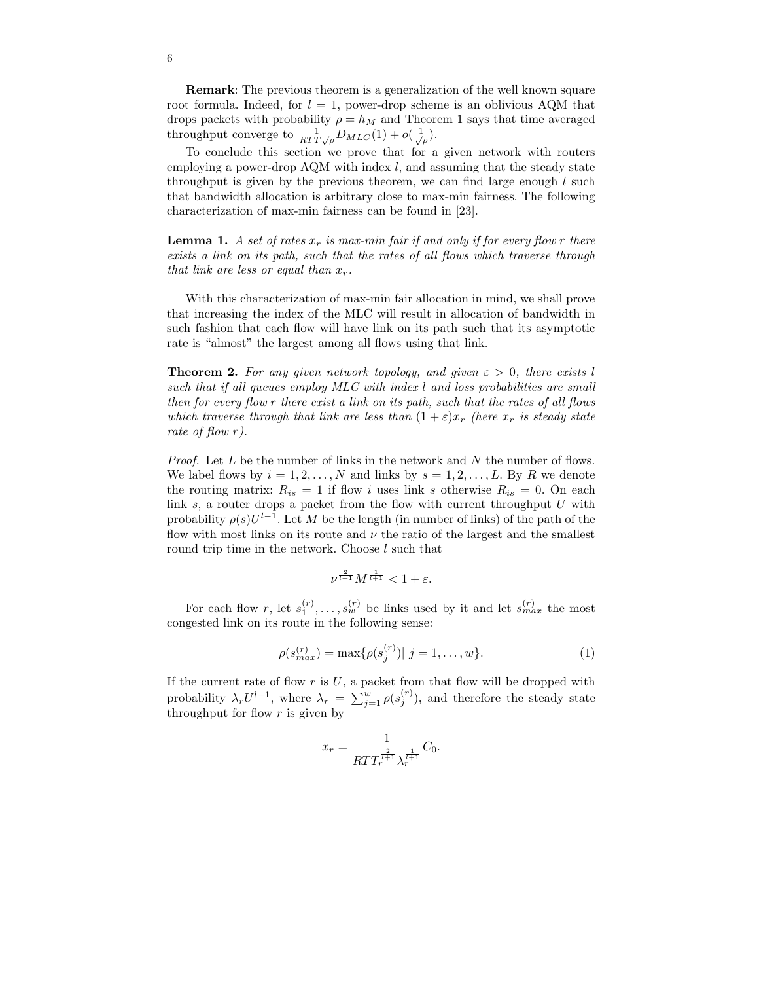Remark: The previous theorem is a generalization of the well known square root formula. Indeed, for  $l = 1$ , power-drop scheme is an oblivious AQM that drops packets with probability  $\rho = h_M$  and Theorem 1 says that time averaged throughput converge to  $\frac{1}{RTT\sqrt{\rho}}D_{MLC}(1) + o(\frac{1}{\sqrt{\rho}})$ .

To conclude this section we prove that for a given network with routers employing a power-drop  $AQM$  with index l, and assuming that the steady state throughput is given by the previous theorem, we can find large enough  $l$  such that bandwidth allocation is arbitrary close to max-min fairness. The following characterization of max-min fairness can be found in [23].

**Lemma 1.** A set of rates  $x_r$  is max-min fair if and only if for every flow r there exists a link on its path, such that the rates of all flows which traverse through that link are less or equal than  $x_r$ .

With this characterization of max-min fair allocation in mind, we shall prove that increasing the index of the MLC will result in allocation of bandwidth in such fashion that each flow will have link on its path such that its asymptotic rate is "almost" the largest among all flows using that link.

**Theorem 2.** For any given network topology, and given  $\varepsilon > 0$ , there exists l such that if all queues employ MLC with index l and loss probabilities are small then for every flow r there exist a link on its path, such that the rates of all flows which traverse through that link are less than  $(1+\varepsilon)x_r$  (here  $x_r$  is steady state rate of flow r).

*Proof.* Let  $L$  be the number of links in the network and  $N$  the number of flows. We label flows by  $i = 1, 2, ..., N$  and links by  $s = 1, 2, ..., L$ . By R we denote the routing matrix:  $R_{is} = 1$  if flow i uses link s otherwise  $R_{is} = 0$ . On each link  $s$ , a router drops a packet from the flow with current throughput  $U$  with probability  $\rho(s)U^{l-1}$ . Let M be the length (in number of links) of the path of the flow with most links on its route and  $\nu$  the ratio of the largest and the smallest round trip time in the network. Choose l such that

$$
\nu^{\frac{2}{l+1}}M^{\frac{1}{l+1}} < 1 + \varepsilon.
$$

For each flow r, let  $s_1^{(r)}, \ldots, s_w^{(r)}$  be links used by it and let  $s_{max}^{(r)}$  the most congested link on its route in the following sense:

$$
\rho(s_{max}^{(r)}) = \max\{\rho(s_j^{(r)})| \ j = 1, \dots, w\}.
$$
 (1)

If the current rate of flow  $r$  is  $U$ , a packet from that flow will be dropped with probability  $\lambda_r U^{l-1}$ , where  $\lambda_r = \sum_{j=1}^w \rho(s_j^{(r)})$ , and therefore the steady state throughput for flow  $r$  is given by

$$
x_r = \frac{1}{RTT_r^{\frac{2}{l+1}}\lambda_r^{\frac{1}{l+1}}}C_0.
$$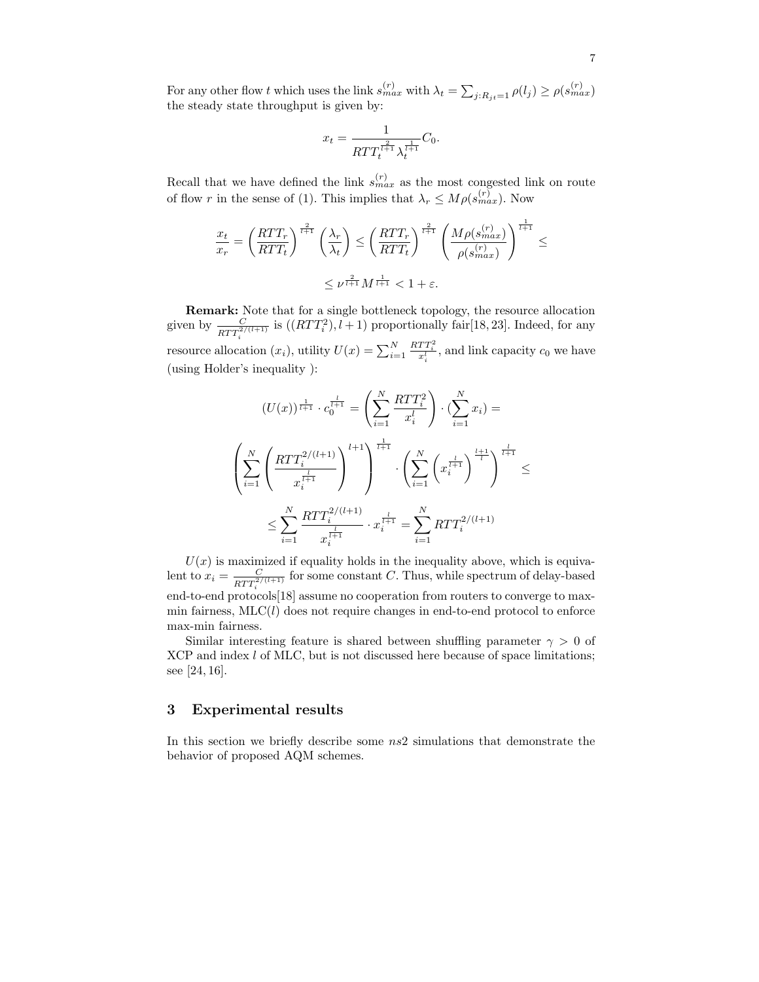For any other flow t which uses the link  $s_{max}^{(r)}$  with  $\lambda_t = \sum_{j:R_{jt}=1} \rho(l_j) \ge \rho(s_{max}^{(r)})$ the steady state throughput is given by:

$$
x_t = \frac{1}{RTT_t^{\frac{2}{t+1}}\lambda_t^{\frac{1}{t+1}}}C_0.
$$

Recall that we have defined the link  $s_{max}^{(r)}$  as the most congested link on route of flow r in the sense of (1). This implies that  $\lambda_r \leq M \rho(s_{max}^{(r)})$ . Now

$$
\frac{x_t}{x_r} = \left(\frac{RTT_r}{RTT_t}\right)^{\frac{2}{t+1}} \left(\frac{\lambda_r}{\lambda_t}\right) \le \left(\frac{RTT_r}{RTT_t}\right)^{\frac{2}{t+1}} \left(\frac{M\rho(s_{max}^{(r)})}{\rho(s_{max}^{(r)})}\right)^{\frac{1}{t+1}} \le
$$

$$
\le \nu^{\frac{2}{t+1}} M^{\frac{1}{t+1}} < 1 + \varepsilon.
$$

Remark: Note that for a single bottleneck topology, the resource allocation given by  $\frac{C}{R}$  $\frac{C}{RTT_i^{2/(l+1)}}$  is  $((RTT_i^2), l+1)$  proportionally fair[18, 23]. Indeed, for any i resource allocation  $(x_i)$ , utility  $U(x) = \sum_{i=1}^{N}$  $\frac{RTT_i^2}{x_i^l}$ , and link capacity  $c_0$  we have (using Holder's inequality ):

$$
(U(x))^{\frac{1}{l+1}} \cdot c_0^{\frac{l}{l+1}} = \left(\sum_{i=1}^N \frac{RTT_i^2}{x_i^l}\right) \cdot (\sum_{i=1}^N x_i) =
$$
  

$$
\left(\sum_{i=1}^N \left(\frac{RTT_i^{2/(l+1)}}{x_i^{\frac{l}{l+1}}}\right)^{l+1}\right)^{\frac{1}{l+1}} \cdot \left(\sum_{i=1}^N \left(x_i^{\frac{l}{l+1}}\right)^{\frac{l+1}{l}}\right)^{\frac{l}{l+1}} \le
$$
  

$$
\le \sum_{i=1}^N \frac{RTT_i^{2/(l+1)}}{x_i^{\frac{l}{l+1}}} \cdot x_i^{\frac{l}{l+1}} = \sum_{i=1}^N RTT_i^{2/(l+1)}
$$

 $U(x)$  is maximized if equality holds in the inequality above, which is equivalent to  $x_i = \frac{C}{RTT^2}$  $\frac{C}{RTT_i^{2/(l+1)}}$  for some constant C. Thus, while spectrum of delay-based end-to-end protocols[18] assume no cooperation from routers to converge to maxmin fairness,  $MLC(l)$  does not require changes in end-to-end protocol to enforce max-min fairness.

Similar interesting feature is shared between shuffling parameter  $\gamma > 0$  of XCP and index *l* of MLC, but is not discussed here because of space limitations; see [24, 16].

## 3 Experimental results

In this section we briefly describe some  $ns2$  simulations that demonstrate the behavior of proposed AQM schemes.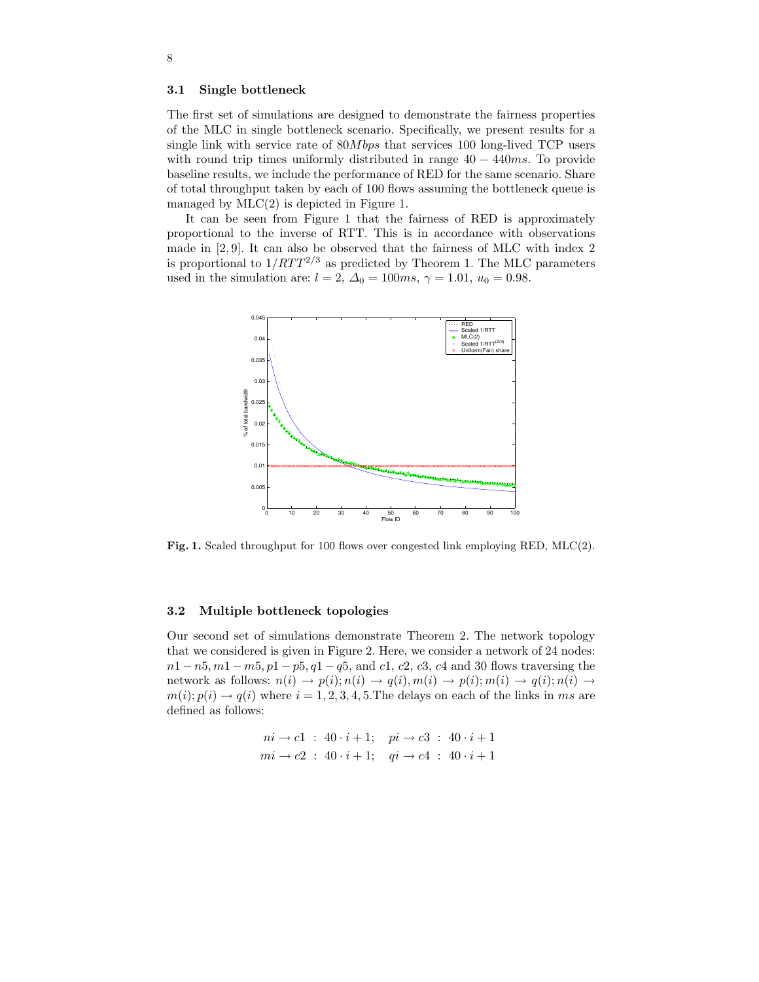### 3.1 Single bottleneck

The first set of simulations are designed to demonstrate the fairness properties of the MLC in single bottleneck scenario. Specifically, we present results for a single link with service rate of 80Mbps that services 100 long-lived TCP users with round trip times uniformly distributed in range  $40 - 440$  ms. To provide baseline results, we include the performance of RED for the same scenario. Share of total throughput taken by each of 100 flows assuming the bottleneck queue is managed by  $MLC(2)$  is depicted in Figure 1.

It can be seen from Figure 1 that the fairness of RED is approximately proportional to the inverse of RTT. This is in accordance with observations made in [2, 9]. It can also be observed that the fairness of MLC with index 2 is proportional to  $1/RTT^{2/3}$  as predicted by Theorem 1. The MLC parameters used in the simulation are:  $l = 2$ ,  $\Delta_0 = 100ms$ ,  $\gamma = 1.01$ ,  $u_0 = 0.98$ .



Fig. 1. Scaled throughput for 100 flows over congested link employing RED, MLC(2).

### 3.2 Multiple bottleneck topologies

Our second set of simulations demonstrate Theorem 2. The network topology that we considered is given in Figure 2. Here, we consider a network of 24 nodes:  $n1 - n5, m1 - m5, p1 - p5, q1 - q5,$  and c1, c2, c3, c4 and 30 flows traversing the network as follows:  $n(i) \rightarrow p(i); n(i) \rightarrow q(i), m(i) \rightarrow p(i); m(i) \rightarrow q(i); n(i) \rightarrow$  $m(i); p(i) \rightarrow q(i)$  where  $i = 1, 2, 3, 4, 5$ . The delays on each of the links in ms are defined as follows:

$$
ni \to c1 : 40 \cdot i + 1; \quad pi \to c3 : 40 \cdot i + 1
$$
  

$$
mi \to c2 : 40 \cdot i + 1; \quad qi \to c4 : 40 \cdot i + 1
$$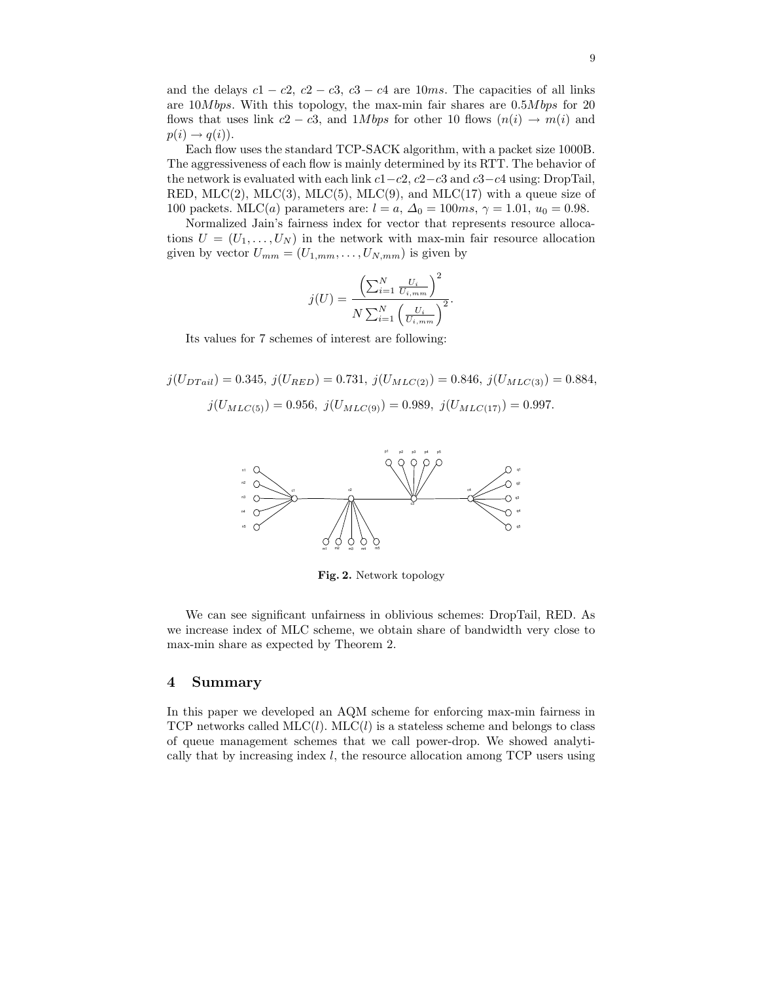and the delays  $c1 - c2$ ,  $c2 - c3$ ,  $c3 - c4$  are 10ms. The capacities of all links are 10Mbps. With this topology, the max-min fair shares are 0.5Mbps for 20 flows that uses link  $c_2 - c_3$ , and 1*Mbps* for other 10 flows  $(n(i) \rightarrow m(i))$  and  $p(i) \rightarrow q(i)$ .

Each flow uses the standard TCP-SACK algorithm, with a packet size 1000B. The aggressiveness of each flow is mainly determined by its RTT. The behavior of the network is evaluated with each link  $c1-c2$ ,  $c2-c3$  and  $c3-c4$  using: DropTail, RED, MLC(2), MLC(3), MLC(5), MLC(9), and MLC(17) with a queue size of 100 packets. MLC(*a*) parameters are:  $l = a, \Delta_0 = 100ms, \gamma = 1.01, u_0 = 0.98$ .

Normalized Jain's fairness index for vector that represents resource allocations  $U = (U_1, \ldots, U_N)$  in the network with max-min fair resource allocation given by vector  $U_{mm} = (U_{1,mm}, \ldots, U_{N,mm})$  is given by

$$
j(U) = \frac{\left(\sum_{i=1}^{N} \frac{U_i}{U_{i,mm}}\right)^2}{N \sum_{i=1}^{N} \left(\frac{U_i}{U_{i,mm}}\right)^2}.
$$

Its values for 7 schemes of interest are following:

$$
j(U_{DTail}) = 0.345, j(U_{RED}) = 0.731, j(U_{MLC(2)}) = 0.846, j(U_{MLC(3)}) = 0.884,
$$
  

$$
j(U_{MLC(5)}) = 0.956, j(U_{MLC(9)}) = 0.989, j(U_{MLC(17)}) = 0.997.
$$



Fig. 2. Network topology

We can see significant unfairness in oblivious schemes: DropTail, RED. As we increase index of MLC scheme, we obtain share of bandwidth very close to max-min share as expected by Theorem 2.

#### 4 Summary

In this paper we developed an AQM scheme for enforcing max-min fairness in TCP networks called MLC(l). MLC(l) is a stateless scheme and belongs to class of queue management schemes that we call power-drop. We showed analytically that by increasing index  $l$ , the resource allocation among TCP users using